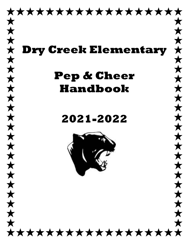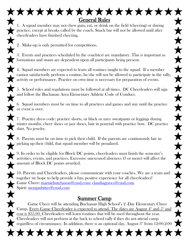1. A squad member may not chew gum, eat, or drink on the field (cheering) or during practice, except at breaks called by the coach. Snack bar will not be allowed until after cheerleaders have finished cheering.

General Rules

 $\bigstar$ 

大大

\*\*\*\*

 $\bigstar$ 

大大

大大

 $\bigstar$ 

 $\hat{\bm{x}}$ 

 $\bigstar$ 

 $\bigstar$ 

 $\bigstar$ 

 $\bigstar$ 

 $\bigstar$ 

大大

 $\bigstar$ 

2. Make-up is only permitted for competitions.

3. Events and practices scheduled by the coach(es) are mandatory. This is important as formations and stunts are dependent upon all participants being present.

4. Squad members are expected to learn all routines taught to the squad. If a member cannot satisfactorily perform a routine, he/she will not be allowed to participate in the rally, activity or performance. Practice on own time is necessary for preparation of events.

5. School rules and regulations must be followed at all times. DC Cheerleaders will sign and follow the Buchanan Area Elementary Athletic Code of Conduct.

6. Squad members must be on time to all practices and games and stay until the practice or event is over.

7. Practice dress code: practice shorts, or black or navy sweatpants or leggings during winter months, cheer shoes or jazz shoes, hair in ponytail with practice bow. DC practice shirt. No jewelry.

8. Parents must be on time to pick their child. If the parents are continuously late in picking up their child, that squad member will be penalized.

9. In order to be eligible for Block DC points, cheerleaders must finish the semester's activities, events, and practices. Excessive unexcused absences (3 or more) will affect the amount of Block DC points awarded.

10. Parents and Cheerleaders, please communicate with your coaches. We are a team and together we hope to help provide a fun, positive experience for all cheerleaders! Game Cheer: [marniehutchason@cusd.com;](mailto:marniehutchason@cusd.com) [claudiagraves@cusd.com](mailto:claudiagraves@cusd.com) Spirit: [morganbitter@cusd.com](mailto:morganbitter@cusd.com)

### Summer Camp

Game Cheer will be attending Buchanan High School's 2 -Day Elementary Cheer Camp. Every Game Cheerleader is expected to attend. The dates are August  $4^{\text{th}}$  and  $5^{\text{th}}$  and  $\triangledown$  cost is \$35.00. Cheerleaders will learn routines that will be used throughout the year. Cheerleaders will not perform at the back to school rally if they do not attend camp regardless of circumstance. In addition, there is an optional day, August  $3^{\scriptscriptstyle \rm nd}$  from  $12{:}00{\text{-}}2{:}00$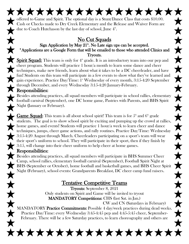## No Cut Squads

 $\bigstar$ 

 $\bigstar$ 

 $\bigstar$ 

 $\bigstar$ 

 $\bigstar$ 

 $\bigstar$ 

 $\bigstar$ 

 $\bigstar$ 

大大大

 $\hat{\textbf{x}}$ 

 $\bigstar$ 

 $\bigstar$ 

 $\hat{\bm{x}}$ 

 $\bigstar$ 

 $\bigstar$ 

\*\*\*

#### Sign Application by May  $21^{\text{th}}$ . No Late sign ups can be accepted. \*Applications are a Google Form that will be emailed to those who attended Clinics and Tryouts.

**Spirit Squad:** This team is only for  $4<sup>th</sup>$  grade. It is an introductory team into our pep and cheer program. Students will practice 1 hour/a month to learn some dance and cheer techniques, make new friends, learn about what it takes to be a DC cheerleader, and have fun! Students on this team will participate in a few events to show what they've learned and gain experience. Practice Day/Time: 1st Wednesday of every month, 3:15-4:20 September through December, and every Wednesday 3:15-4:20 January-February.

### Responsibilities:

Besides attending practices, all squad members will participate in school rallies, elementary football carnival (September), one DC home game, Pastries with Parents, and BHS Spirit Night (January or February).

**Game Squad:** This team is all about school spirit! This team is for  $5^{\text{th}}$  and  $6^{\text{th}}$  grade students. The goal is to show school spirit by exciting and pumping up the crowd at rallies, home games, and events! Students will practice 1 hour/a week to learn cheer and dance techniques, jumps, cheer game actions, and rally routines. Practice Day/Time: Wednesday 3:15-4:20 August through March. Cheerleaders participating on a sport's team will wear their sport's uniform to school. They will participate in their sport, then if they finish by 3:15, will change into their cheer uniform to help cheer at home games.

## Responsibilities:

Besides attending practices, all squad members will participate in BHS Summer Cheer Camp, school rallies, elementary football carnival (September), Football Spirit Night at BHS (September or October), home football and basketball games, and BHS Cheer Spirit Night (February), school events: Grandparents Breakfast, DC cheer camp fund raisers.

# Tentative Competitive Teams

Tryouts: September 8, 2021 Only students on Spirit and Game will be invited to tryout **MANDATORY Competitions:** CHS (last Sat. in Jan.)

 CW and CN (Saturdays in February) MANDATORY Practice Commitments: Possible 4 day/week practices during dead weeks. Practice Day/Time: every Wednesday 3:45-4:45 pep and 4:45-5:45 cheer, September-February. There will be a few Saturday practices, to learn choreography and others are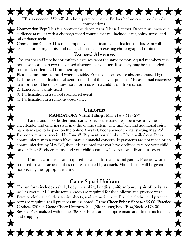#### \*\*\*\*\*\*\*\*\*\*\*\*\*\*\*\*\* TBA as needed. We will also hold practices on the Fridays before our three Saturday competitions.

Competition Pep: This is a competitive dance team. These Panther Dancers will wow our audience at rallies with a choreographed routine that will include leaps, spins, turns, and other dance techniques.

Competition Cheer: This is a competitive cheer team. Cheerleaders on this team will execute tumbling, stunts, and dance all through an exciting choreographed routine.

### Excused Absences

The coaches will not honor multiple excuses from the same person. Squad members may not have more than two unexcused absences per quarter. If so, they may be suspended, removed, or demoted from their squad.

Please communicate ahead when possible. Excused absences are absences caused by: 1. Illness (if cheerleader is absent from school the day of practice) \*Please email coach(es) to inform us. The office does not inform us with a child is out from school.

- 2. Emergency family need
- 3. Participation in a school sponsored event
- 4. Participation in a religious observance

## Uniforms

#### MANDATORY Virtual Fittings: May 21st - May  $27<sup>th</sup>$

Parent and cheerleader must participate, as the parent will be measuring the cheerleader and entering sizes into the online system. The uniform and additional spirit pack items are to be paid on the online Varsity Cheer payment portal starting May  $28^{\text{th}}$ . Payments must be received by June 6<sup>h</sup>. Payment portal links will be emailed out. Please communicate with a coach if you have a financial concern. If payments are not made or no communication by May  $28<sup>th</sup>$ , then it is assumed that you have declined to place your child on our 2020-21 cheer teams, and your child's name will be removed from our roster.

Complete uniforms are required for all performances and games. Practice wear is required for all practices unless otherwise noted by a coach. Minor forms will be given for not wearing the appropriate attire.

# Game Squad Uniform

The uniform includes a shell, body liner, skirt, bundies, uniform bow, 1 pair of socks, as well as sweats. ALL white tennis shoes are required for the uniform and practice wear. **Practice clothes include a t-shirt, shorts, and a practice bow. Practice clothes and practice** bow are required at all practices unless noted. Game Cheer Prices: Shoes-  $\$55.00$ , Practice Clothes- \$30.00, Game Cheer Uniform- Shell/Skirt/Liner/Brief/Bow/Sock- \$175.00, Sweats-Personalized with name- \$90.00. Prices are an approximate and do not include tax and shipping.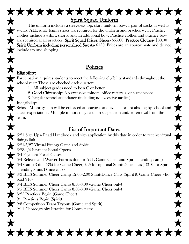

The uniform includes a sleeveless top, skirt, uniform bow, 1 pair of socks as well as sweats. ALL white tennis shoes are required for the uniform and practice wear. Practice clothes include a t-shirt, shorts, and an additional bow. Practice clothes and practice bow are required at all practices. Spirit Squad Prices: Shoes- \$55.00, Practice Clothes- \$30.00 Spirit Uniform including personalized Sweats- \$150. Prices are an approximate and do not include tax and shipping.

## Policies

#### Eligibility:

Participation requires students to meet the following eligibility standards throughout the school year: These are checked each quarter:

- 1. All subject grades need to be a C or better
- 2. Good Citizenship: No excessive minors, office referrals, or suspensions
- 3. Regular school attendance (including no excessive tardies)

#### Ineligibility:

School Minor system will be enforced at practices and events for not abiding by school and cheer expectations. Multiple minors may result in suspension and/or removal from the team.

# List of Important Dates

5/21 Sign Ups- Read Handbook and sign application by this date in order to receive virtual fittings link 5/21-5/27 Virtual Fittings Game and Spirit 5/28-6/4 Payment Portal Opens 6/4 Payment Portal Closes 6/4 Release and Waiver Form is due for ALL Game Cheer and Spirit attending camp 6/4 Camp \$ due (\$35 for Game Cheer, \$45 for optional Stunt/Dance class) (\$10 for Spirit attending Stunt/Dance class) 8/3 BHS Summer Cheer Camp 12:00-2:00 Stunt/Dance Class (Spirit & Game Cheer who paid \$10) 8/4 BHS Summer Cheer Camp 8:30-3:00 (Game Cheer only) 8/5 BHS Summer Cheer Camp 8:30-3:00 (Game Cheer only) 8/25 Practices Begin (Game Cheer) 9/1 Practices Begin (Spirit) 9/8 Competition Team Tryouts (Game and Spirit) 9/11 Choreography Practice for Comp teams

\*\*\*\*\*\*\*\*\*\*\*\*\*\*\*